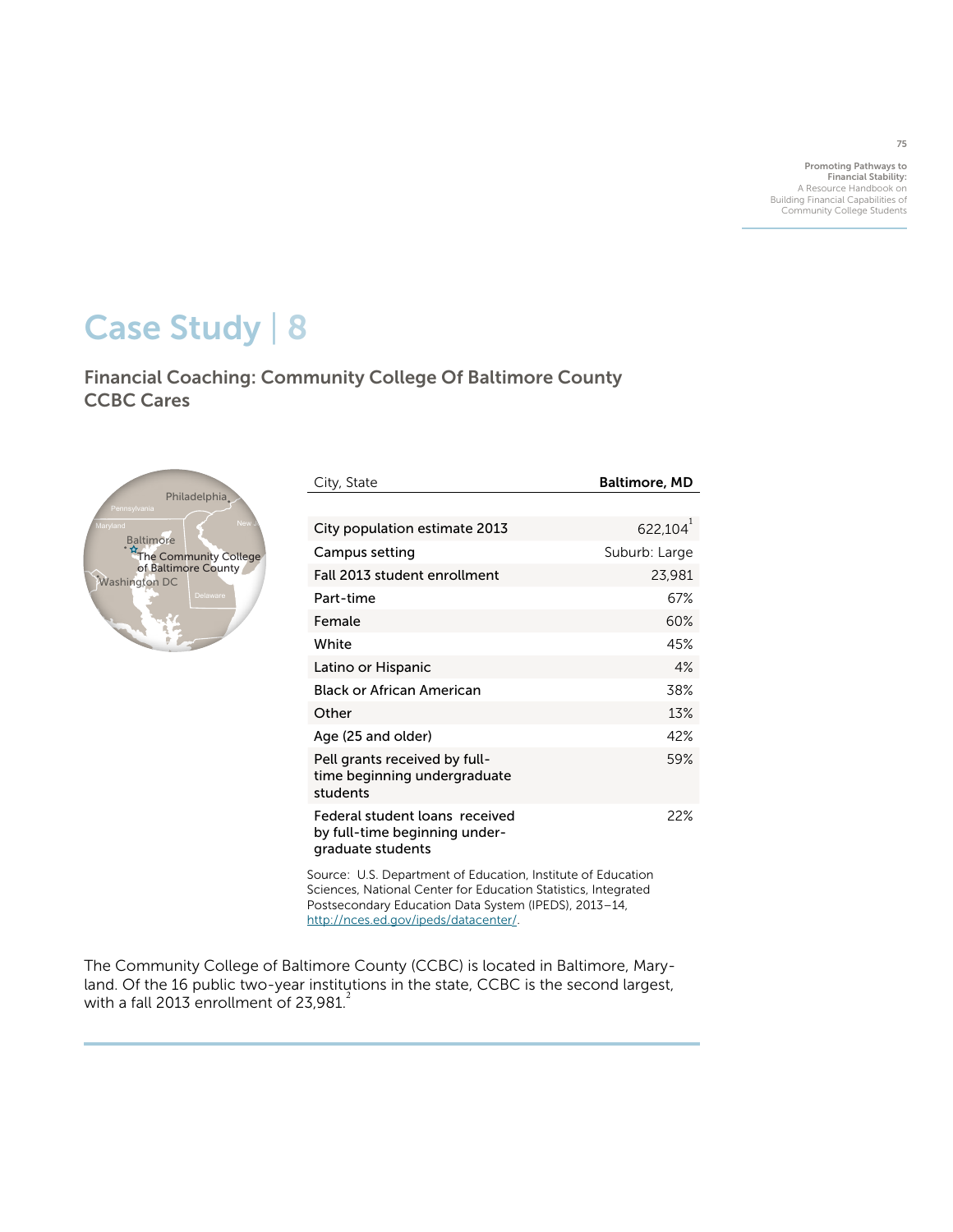Promoting Pathways to Financial Stability: A Resource Handbook on Building Financial Capabilities of Community College Students

# Case Study | 8

Financial Coaching: Community College Of Baltimore County CCBC Cares Connecticut



| City, State                                                                          | Baltimore, MD |
|--------------------------------------------------------------------------------------|---------------|
|                                                                                      |               |
| City population estimate 2013                                                        | $622,104^{1}$ |
| Campus setting                                                                       | Suburb: Large |
| Fall 2013 student enrollment                                                         | 23,981        |
| Part-time                                                                            | 67%           |
| Female                                                                               | 60%           |
| White                                                                                | 45%           |
| Latino or Hispanic                                                                   | 4%            |
| Black or African American                                                            | 38%           |
| Other                                                                                | 13%           |
| Age (25 and older)                                                                   | 42%           |
| Pell grants received by full-<br>time beginning undergraduate<br>students            | 59%           |
| Federal student loans received<br>by full-time beginning under-<br>graduate students | 22%           |

Source: U.S. Department of Education, Institute of Education Sciences, National Center for Education Statistics, Integrated Postsecondary Education Data System (IPEDS), 2013–14, <http://nces.ed.gov/ipeds/datacenter>/.

The Community College of Baltimore County (CCBC) is located in Baltimore, Maryland. Of the 16 public two-year institutions in the state, CCBC is the second largest, with a fall 2013 enrollment of  $23,981$ <sup>2</sup>

75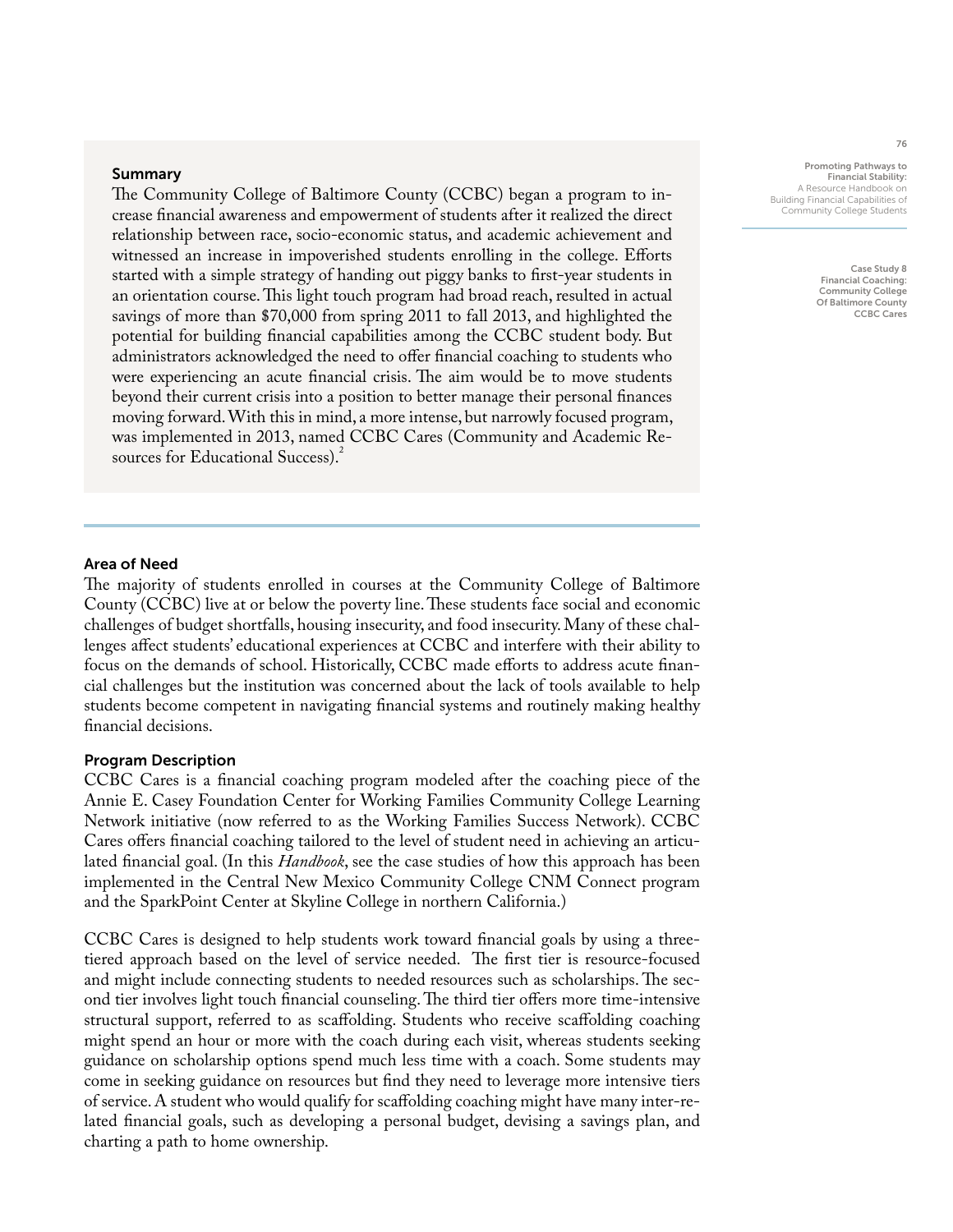#### Summary

The Community College of Baltimore County (CCBC) began a program to increase financial awareness and empowerment of students after it realized the direct relationship between race, socio-economic status, and academic achievement and witnessed an increase in impoverished students enrolling in the college. Efforts started with a simple strategy of handing out piggy banks to first-year students in an orientation course. This light touch program had broad reach, resulted in actual savings of more than \$70,000 from spring 2011 to fall 2013, and highlighted the potential for building financial capabilities among the CCBC student body. But administrators acknowledged the need to offer financial coaching to students who were experiencing an acute financial crisis. The aim would be to move students beyond their current crisis into a position to better manage their personal finances moving forward. With this in mind, a more intense, but narrowly focused program, was implemented in 2013, named CCBC Cares (Community and Academic Resources for Educational Success).

#### Promoting Pathways to Financial Stability: A Resource Handbook on Building Financial Capabilities of Community College Students

Case Study 8 Financial Coaching: Community College Of Baltimore County CCBC Cares

# Area of Need

The majority of students enrolled in courses at the Community College of Baltimore County (CCBC) live at or below the poverty line. These students face social and economic challenges of budget shortfalls, housing insecurity, and food insecurity. Many of these challenges affect students' educational experiences at CCBC and interfere with their ability to focus on the demands of school. Historically, CCBC made efforts to address acute financial challenges but the institution was concerned about the lack of tools available to help students become competent in navigating financial systems and routinely making healthy financial decisions.

## Program Description

CCBC Cares is a financial coaching program modeled after the coaching piece of the Annie E. Casey Foundation Center for Working Families Community College Learning Network initiative (now referred to as the Working Families Success Network). CCBC Cares offers financial coaching tailored to the level of student need in achieving an articulated financial goal. (In this *Handbook*, see the case studies of how this approach has been implemented in the Central New Mexico Community College CNM Connect program and the SparkPoint Center at Skyline College in northern California.)

CCBC Cares is designed to help students work toward financial goals by using a threetiered approach based on the level of service needed. The first tier is resource-focused and might include connecting students to needed resources such as scholarships. The second tier involves light touch financial counseling. The third tier offers more time-intensive structural support, referred to as scaffolding. Students who receive scaffolding coaching might spend an hour or more with the coach during each visit, whereas students seeking guidance on scholarship options spend much less time with a coach. Some students may come in seeking guidance on resources but find they need to leverage more intensive tiers of service. A student who would qualify for scaffolding coaching might have many inter-related financial goals, such as developing a personal budget, devising a savings plan, and charting a path to home ownership.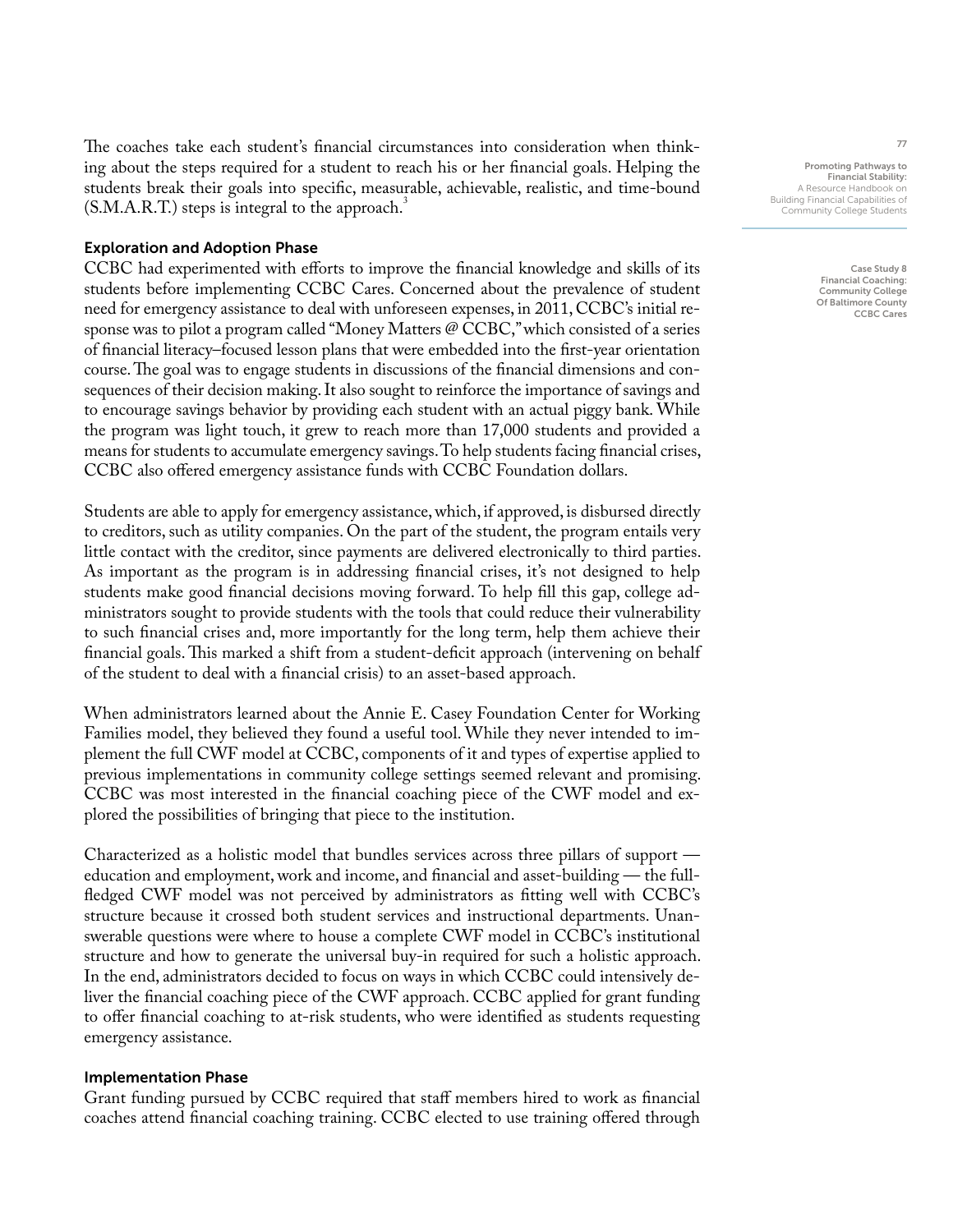The coaches take each student's financial circumstances into consideration when thinking about the steps required for a student to reach his or her financial goals. Helping the students break their goals into specific, measurable, achievable, realistic, and time-bound  $(S.M.A.R.T.)$  steps is integral to the approach.

### Exploration and Adoption Phase

CCBC had experimented with efforts to improve the financial knowledge and skills of its students before implementing CCBC Cares. Concerned about the prevalence of student need for emergency assistance to deal with unforeseen expenses, in 2011, CCBC's initial response was to pilot a program called "Money Matters @ CCBC," which consisted of a series of financial literacy–focused lesson plans that were embedded into the first-year orientation course. The goal was to engage students in discussions of the financial dimensions and consequences of their decision making. It also sought to reinforce the importance of savings and to encourage savings behavior by providing each student with an actual piggy bank. While the program was light touch, it grew to reach more than 17,000 students and provided a means for students to accumulate emergency savings. To help students facing financial crises, CCBC also offered emergency assistance funds with CCBC Foundation dollars.

Students are able to apply for emergency assistance, which, if approved, is disbursed directly to creditors, such as utility companies. On the part of the student, the program entails very little contact with the creditor, since payments are delivered electronically to third parties. As important as the program is in addressing financial crises, it's not designed to help students make good financial decisions moving forward. To help fill this gap, college administrators sought to provide students with the tools that could reduce their vulnerability to such financial crises and, more importantly for the long term, help them achieve their financial goals. This marked a shift from a student-deficit approach (intervening on behalf of the student to deal with a financial crisis) to an asset-based approach.

When administrators learned about the Annie E. Casey Foundation Center for Working Families model, they believed they found a useful tool. While they never intended to implement the full CWF model at CCBC, components of it and types of expertise applied to previous implementations in community college settings seemed relevant and promising. CCBC was most interested in the financial coaching piece of the CWF model and explored the possibilities of bringing that piece to the institution.

Characterized as a holistic model that bundles services across three pillars of support education and employment, work and income, and financial and asset-building — the fullfledged CWF model was not perceived by administrators as fitting well with CCBC's structure because it crossed both student services and instructional departments. Unanswerable questions were where to house a complete CWF model in CCBC's institutional structure and how to generate the universal buy-in required for such a holistic approach. In the end, administrators decided to focus on ways in which CCBC could intensively deliver the financial coaching piece of the CWF approach. CCBC applied for grant funding to offer financial coaching to at-risk students, who were identified as students requesting emergency assistance.

# Implementation Phase

Grant funding pursued by CCBC required that staff members hired to work as financial coaches attend financial coaching training. CCBC elected to use training offered through

Promoting Pathways to Financial Stability: A Resource Handbook on Building Financial Capabilities of Community College Students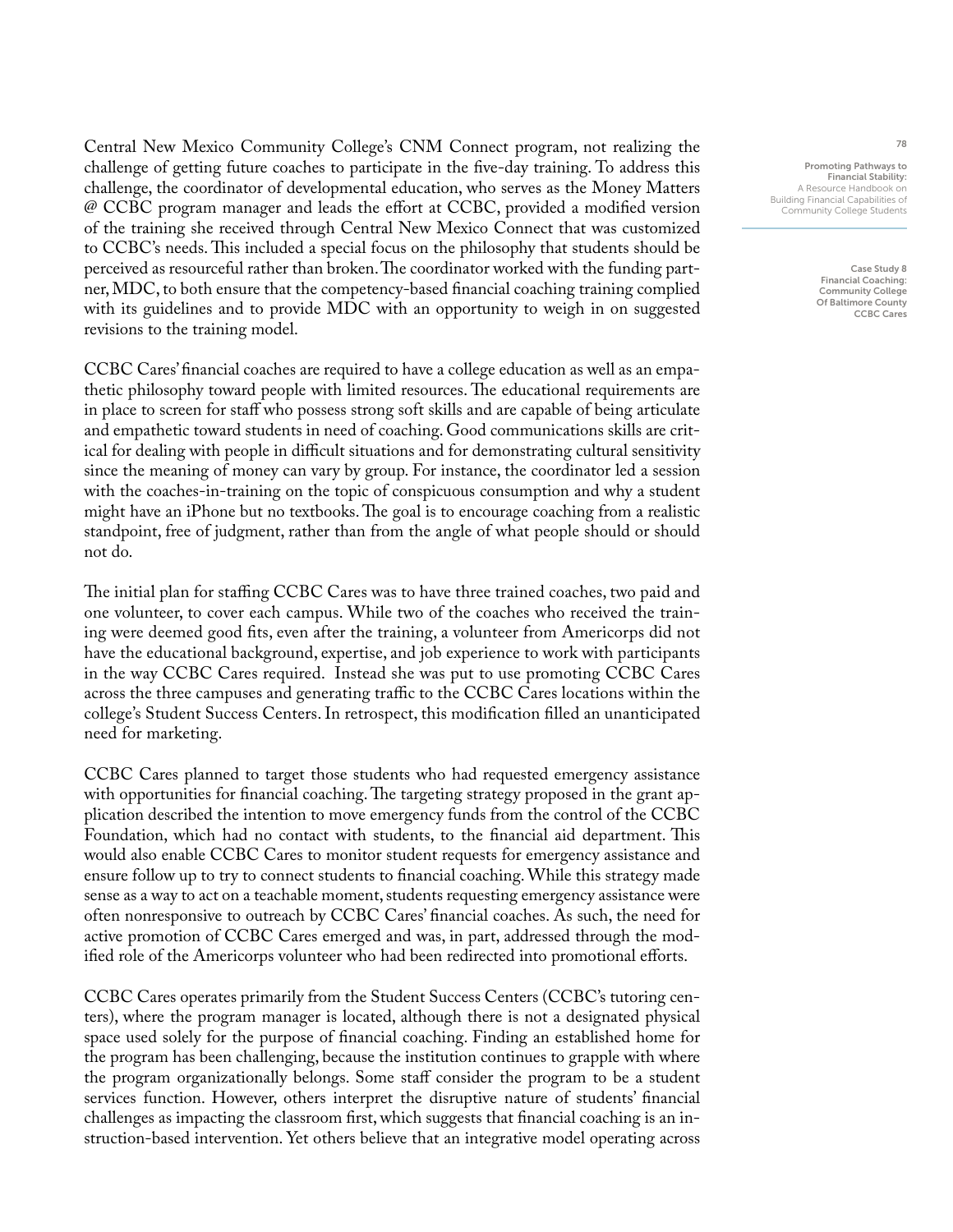Central New Mexico Community College's CNM Connect program, not realizing the challenge of getting future coaches to participate in the five-day training. To address this challenge, the coordinator of developmental education, who serves as the Money Matters @ CCBC program manager and leads the effort at CCBC, provided a modified version of the training she received through Central New Mexico Connect that was customized to CCBC's needs. This included a special focus on the philosophy that students should be perceived as resourceful rather than broken. The coordinator worked with the funding partner, MDC, to both ensure that the competency-based financial coaching training complied with its guidelines and to provide MDC with an opportunity to weigh in on suggested revisions to the training model.

CCBC Cares' financial coaches are required to have a college education as well as an empathetic philosophy toward people with limited resources. The educational requirements are in place to screen for staff who possess strong soft skills and are capable of being articulate and empathetic toward students in need of coaching. Good communications skills are critical for dealing with people in difficult situations and for demonstrating cultural sensitivity since the meaning of money can vary by group. For instance, the coordinator led a session with the coaches-in-training on the topic of conspicuous consumption and why a student might have an iPhone but no textbooks. The goal is to encourage coaching from a realistic standpoint, free of judgment, rather than from the angle of what people should or should not do.

The initial plan for staffing CCBC Cares was to have three trained coaches, two paid and one volunteer, to cover each campus. While two of the coaches who received the training were deemed good fits, even after the training, a volunteer from Americorps did not have the educational background, expertise, and job experience to work with participants in the way CCBC Cares required. Instead she was put to use promoting CCBC Cares across the three campuses and generating traffic to the CCBC Cares locations within the college's Student Success Centers. In retrospect, this modification filled an unanticipated need for marketing.

CCBC Cares planned to target those students who had requested emergency assistance with opportunities for financial coaching. The targeting strategy proposed in the grant application described the intention to move emergency funds from the control of the CCBC Foundation, which had no contact with students, to the financial aid department. This would also enable CCBC Cares to monitor student requests for emergency assistance and ensure follow up to try to connect students to financial coaching. While this strategy made sense as a way to act on a teachable moment, students requesting emergency assistance were often nonresponsive to outreach by CCBC Cares' financial coaches. As such, the need for active promotion of CCBC Cares emerged and was, in part, addressed through the modified role of the Americorps volunteer who had been redirected into promotional efforts.

CCBC Cares operates primarily from the Student Success Centers (CCBC's tutoring centers), where the program manager is located, although there is not a designated physical space used solely for the purpose of financial coaching. Finding an established home for the program has been challenging, because the institution continues to grapple with where the program organizationally belongs. Some staff consider the program to be a student services function. However, others interpret the disruptive nature of students' financial challenges as impacting the classroom first, which suggests that financial coaching is an instruction-based intervention. Yet others believe that an integrative model operating across

Promoting Pathways to Financial Stability: A Resource Handbook on Building Financial Capabilities of Community College Students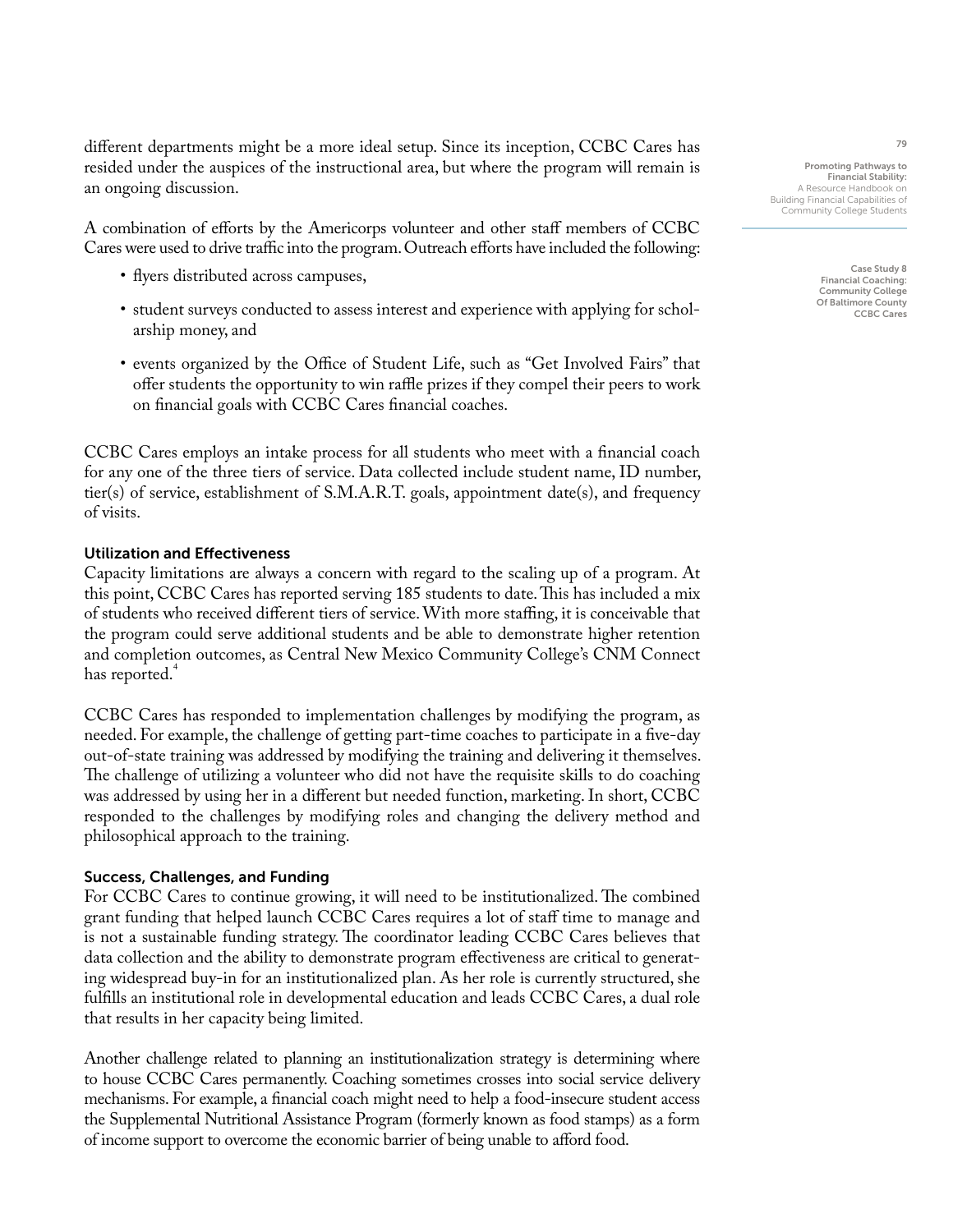different departments might be a more ideal setup. Since its inception, CCBC Cares has resided under the auspices of the instructional area, but where the program will remain is an ongoing discussion.

A combination of efforts by the Americorps volunteer and other staff members of CCBC Cares were used to drive traffic into the program. Outreach efforts have included the following:

- flyers distributed across campuses,
- student surveys conducted to assess interest and experience with applying for scholarship money, and
- events organized by the Office of Student Life, such as "Get Involved Fairs" that offer students the opportunity to win raffle prizes if they compel their peers to work on financial goals with CCBC Cares financial coaches.

CCBC Cares employs an intake process for all students who meet with a financial coach for any one of the three tiers of service. Data collected include student name, ID number, tier(s) of service, establishment of S.M.A.R.T. goals, appointment date(s), and frequency of visits.

#### Utilization and Effectiveness

Capacity limitations are always a concern with regard to the scaling up of a program. At this point, CCBC Cares has reported serving 185 students to date. This has included a mix of students who received different tiers of service. With more staffing, it is conceivable that the program could serve additional students and be able to demonstrate higher retention and completion outcomes, as Central New Mexico Community College's CNM Connect has reported.<sup>4</sup>

CCBC Cares has responded to implementation challenges by modifying the program, as needed. For example, the challenge of getting part-time coaches to participate in a five-day out-of-state training was addressed by modifying the training and delivering it themselves. The challenge of utilizing a volunteer who did not have the requisite skills to do coaching was addressed by using her in a different but needed function, marketing. In short, CCBC responded to the challenges by modifying roles and changing the delivery method and philosophical approach to the training.

#### Success, Challenges, and Funding

For CCBC Cares to continue growing, it will need to be institutionalized. The combined grant funding that helped launch CCBC Cares requires a lot of staff time to manage and is not a sustainable funding strategy. The coordinator leading CCBC Cares believes that data collection and the ability to demonstrate program effectiveness are critical to generating widespread buy-in for an institutionalized plan. As her role is currently structured, she fulfills an institutional role in developmental education and leads CCBC Cares, a dual role that results in her capacity being limited.

Another challenge related to planning an institutionalization strategy is determining where to house CCBC Cares permanently. Coaching sometimes crosses into social service delivery mechanisms. For example, a financial coach might need to help a food-insecure student access the Supplemental Nutritional Assistance Program (formerly known as food stamps) as a form of income support to overcome the economic barrier of being unable to afford food.

Promoting Pathways to Financial Stability: A Resource Handbook on Building Financial Capabilities of Community College Students